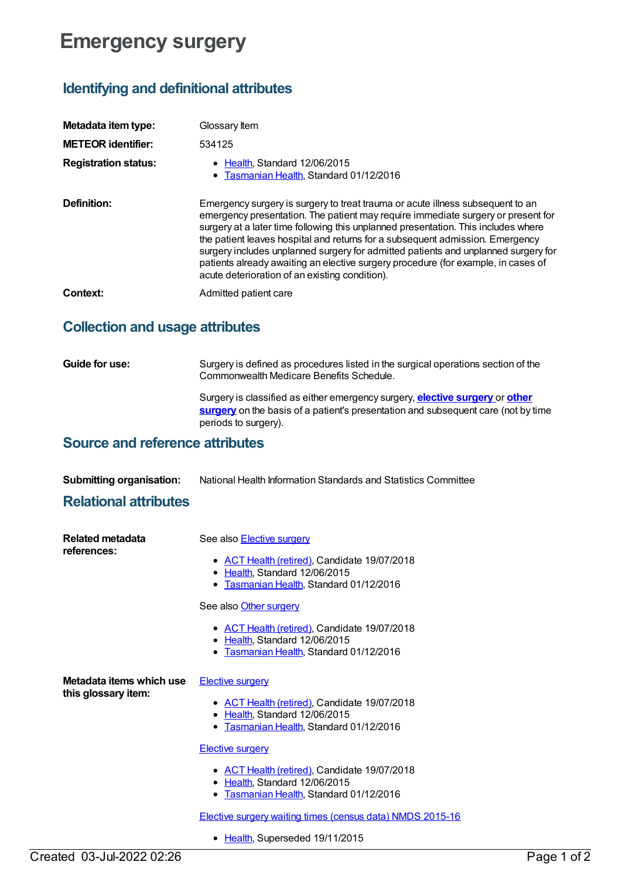# **Emergency surgery**

## **Identifying and definitional attributes**

| Metadata item type:         | Glossary Item                                                                                                                                                                                                                                                                                                                                                                                                                                                                                                                                                          |
|-----------------------------|------------------------------------------------------------------------------------------------------------------------------------------------------------------------------------------------------------------------------------------------------------------------------------------------------------------------------------------------------------------------------------------------------------------------------------------------------------------------------------------------------------------------------------------------------------------------|
| <b>METEOR identifier:</b>   | 534125                                                                                                                                                                                                                                                                                                                                                                                                                                                                                                                                                                 |
| <b>Registration status:</b> | • Health, Standard 12/06/2015<br>• Tasmanian Health, Standard 01/12/2016                                                                                                                                                                                                                                                                                                                                                                                                                                                                                               |
| Definition:                 | Emergency surgery is surgery to treat trauma or acute illness subsequent to an<br>emergency presentation. The patient may require immediate surgery or present for<br>surgery at a later time following this unplanned presentation. This includes where<br>the patient leaves hospital and returns for a subsequent admission. Emergency<br>surgery includes unplanned surgery for admitted patients and unplanned surgery for<br>patients already awaiting an elective surgery procedure (for example, in cases of<br>acute deterioration of an existing condition). |
| Context:                    | Admitted patient care                                                                                                                                                                                                                                                                                                                                                                                                                                                                                                                                                  |

### **Collection and usage attributes**

**Guide for use:** Surgery is defined as procedures listed in the surgical operations section of the Commonwealth Medicare Benefits Schedule. Surgery is classified as either emergency surgery, **elective [surgery](https://meteor.aihw.gov.au/content/568780)** or **other surgery** on the basis of a patient's [presentation](https://meteor.aihw.gov.au/content/568786) and subsequent care (not by time periods to surgery).

### **Source and reference attributes**

**Submitting organisation:** National Health Information Standards and Statistics Committee

#### **Relational attributes**

| <b>Related metadata</b><br>references:          | See also <b>Elective surgery</b><br>• ACT Health (retired), Candidate 19/07/2018<br>• Health, Standard 12/06/2015<br>• Tasmanian Health, Standard 01/12/2016<br>See also Other surgery                                                                                                                                                                                                           |
|-------------------------------------------------|--------------------------------------------------------------------------------------------------------------------------------------------------------------------------------------------------------------------------------------------------------------------------------------------------------------------------------------------------------------------------------------------------|
|                                                 | • ACT Health (retired), Candidate 19/07/2018<br>• Health, Standard 12/06/2015<br>Tasmanian Health, Standard 01/12/2016                                                                                                                                                                                                                                                                           |
| Metadata items which use<br>this glossary item: | <b>Elective surgery</b><br>• ACT Health (retired), Candidate 19/07/2018<br>Health, Standard 12/06/2015<br>$\bullet$<br>Tasmanian Health, Standard 01/12/2016<br>$\bullet$<br><b>Elective surgery</b><br>• ACT Health (retired), Candidate 19/07/2018<br>• Health, Standard 12/06/2015<br>Tasmanian Health, Standard 01/12/2016<br>٠<br>Elective surgery waiting times (census data) NMDS 2015-16 |

• [Health](https://meteor.aihw.gov.au/RegistrationAuthority/12), Superseded 19/11/2015